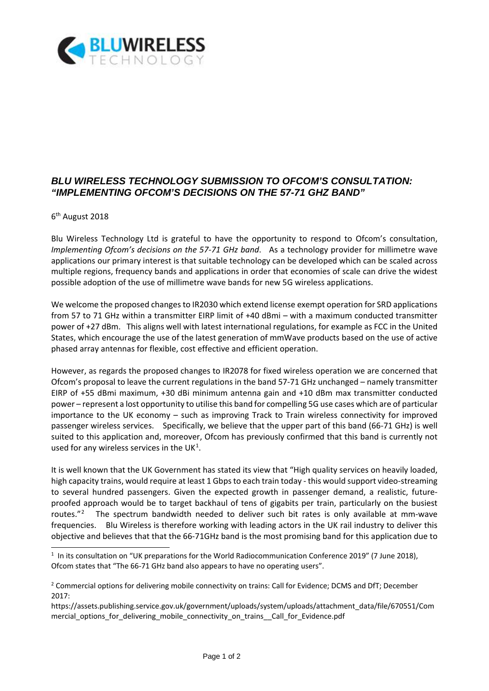

## *BLU WIRELESS TECHNOLOGY SUBMISSION TO OFCOM'S CONSULTATION: "IMPLEMENTING OFCOM'S DECISIONS ON THE 57-71 GHZ BAND"*

## 6th August 2018

-

Blu Wireless Technology Ltd is grateful to have the opportunity to respond to Ofcom's consultation, *Implementing Ofcom's decisions on the 57-71 GHz band*. As a technology provider for millimetre wave applications our primary interest is that suitable technology can be developed which can be scaled across multiple regions, frequency bands and applications in order that economies of scale can drive the widest possible adoption of the use of millimetre wave bands for new 5G wireless applications.

We welcome the proposed changes to IR2030 which extend license exempt operation for SRD applications from 57 to 71 GHz within a transmitter EIRP limit of +40 dBmi – with a maximum conducted transmitter power of +27 dBm. This aligns well with latest international regulations, for example as FCC in the United States, which encourage the use of the latest generation of mmWave products based on the use of active phased array antennas for flexible, cost effective and efficient operation.

However, as regards the proposed changes to IR2078 for fixed wireless operation we are concerned that Ofcom's proposal to leave the current regulations in the band 57-71 GHz unchanged – namely transmitter EIRP of +55 dBmi maximum, +30 dBi minimum antenna gain and +10 dBm max transmitter conducted power – represent a lost opportunity to utilise this band for compelling 5G use cases which are of particular importance to the UK economy – such as improving Track to Train wireless connectivity for improved passenger wireless services. Specifically, we believe that the upper part of this band (66-71 GHz) is well suited to this application and, moreover, Ofcom has previously confirmed that this band is currently not used for any wireless services in the UK<sup>[1](#page-0-0)</sup>.

It is well known that the UK Government has stated its view that "High quality services on heavily loaded, high capacity trains, would require at least 1 Gbps to each train today - this would support video-streaming to several hundred passengers. Given the expected growth in passenger demand, a realistic, futureproofed approach would be to target backhaul of tens of gigabits per train, particularly on the busiest routes."<sup>[2](#page-0-1)</sup> The spectrum bandwidth needed to deliver such bit rates is only available at mm-wave frequencies. Blu Wireless is therefore working with leading actors in the UK rail industry to deliver this objective and believes that that the 66-71GHz band is the most promising band for this application due to

<span id="page-0-0"></span><sup>&</sup>lt;sup>1</sup> In its consultation on "UK preparations for the World Radiocommunication Conference 2019" (7 June 2018), Ofcom states that "The 66-71 GHz band also appears to have no operating users".

<span id="page-0-1"></span><sup>&</sup>lt;sup>2</sup> Commercial options for delivering mobile connectivity on trains: Call for Evidence; DCMS and DfT; December 2017:

https://assets.publishing.service.gov.uk/government/uploads/system/uploads/attachment\_data/file/670551/Com mercial\_options\_for\_delivering\_mobile\_connectivity\_on\_trains\_\_Call\_for\_Evidence.pdf